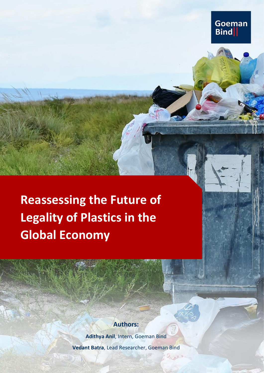**Reassessing the Future of Legality of Plastics in the Global Economy**

# **Authors:**

**Goeman** 

**Bind** 

**Adithya Anil**, Intern, Goeman Bind

**Vedant Batra**, Lead Researcher, Goeman Bind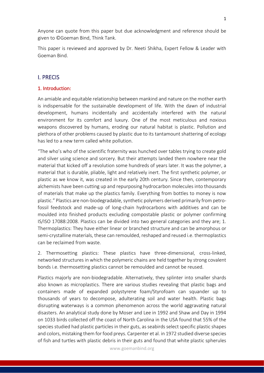Anyone can quote from this paper but due acknowledgment and reference should be given to ©Goeman Bind, Think Tank.

This paper is reviewed and approved by Dr. Neeti Shikha, Expert Fellow & Leader with Goeman Bind.

## I. PRECIS

#### 1. Introduction:

An amiable and equitable relationship between mankind and nature on the mother earth is indispensable for the sustainable development of life. With the dawn of industrial development, humans incidentally and accidentally interfered with the natural environment for its comfort and luxury. One of the most meticulous and noxious weapons discovered by humans, eroding our natural habitat is plastic. Pollution and plethora of other problems caused by plastic due to its tantamount shattering of ecology has led to a new term called white pollution.

"The who's who of the scientific fraternity was hunched over tables trying to create gold and silver using science and sorcery. But their attempts landed them nowhere near the material that kicked off a revolution some hundreds of years later. It was the polymer, a material that is durable, pliable, light and relatively inert. The first synthetic polymer, or plastic as we know it, was created in the early 20th century. Since then, contemporary alchemists have been cutting up and repurposing hydrocarbon molecules into thousands of materials that make up the plastics family. Everything from bottles to money is now plastic." Plastics are non-biodegradable, synthetic polymers derived primarily from petrofossil feedstock and made-up of long-chain hydrocarbons with additives and can be moulded into finished products excluding compostable plastic or polymer confirming IS/ISO 17088:2008. Plastics can be divided into two general categories and they are; 1. Thermoplastics: They have either linear or branched structure and can be amorphous or semi-crystalline materials, these can remoulded, reshaped and reused i.e. thermoplastics can be reclaimed from waste.

2. Thermosetting plastics: These plastics have three-dimensional, cross-linked, networked structures in which the polymeric chains are held together by strong covalent bonds i.e. thermosetting plastics cannot be remoulded and cannot be reused.

Plastics majorly are non-biodegradable. Alternatively, they splinter into smaller shards also known as microplastics. There are various studies revealing that plastic bags and containers made of expanded polystyrene foam/Styrofoam can squander up to thousands of years to decompose, adulterating soil and water health. Plastic bags disrupting waterways is a common phenomenon across the world aggravating natural disasters. An analytical study done by Moser and Lee in 1992 and Shaw and Day in 1994 on 1033 birds collected off the coast of North Carolina in the USA found that 55% of the species studied had plastic particles in their guts, as seabirds select specific plastic shapes and colors, mistaking them for food preys. Carpenter et al. in 1972 studied diverse species of fish and turtles with plastic debris in their guts and found that white plastic spherules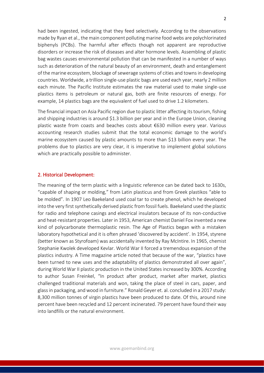had been ingested, indicating that they feed selectively. According to the observations made by Ryan et al., the main component polluting marine food webs are polychlorinated biphenyls (PCBs). The harmful after effects though not apparent are reproductive disorders or increase the risk of diseases and alter hormone levels. Assembling of plastic bag wastes causes environmental pollution that can be manifested in a number of ways such as deterioration of the natural beauty of an environment, death and entanglement of the marine ecosystem, blockage of sewerage systems of cities and towns in developing countries. Worldwide, a trillion single-use plastic bags are used each year, nearly 2 million each minute. The Pacific Institute estimates the raw material used to make single-use plastics items is petroleum or natural gas, both are finite resources of energy. For example, 14 plastics bags are the equivalent of fuel used to drive 1.2 kilometers.

The financial impact on Asia Pacific region due to plastic litter affecting its tourism, fishing and shipping industries is around \$1.3 billion per year and in the Europe Union, cleaning plastic waste from coasts and beaches costs about €630 million every year. Various accounting research studies submit that the total economic damage to the world's marine ecosystem caused by plastic amounts to more than \$13 billion every year. The problems due to plastics are very clear, it is imperative to implement global solutions which are practically possible to administer.

#### 2. Historical Development:

The meaning of the term plastic with a linguistic reference can be dated back to 1630s, "capable of shaping or molding," from Latin plasticus and from Greek plastikos "able to be molded". In 1907 Leo Baekeland used coal tar to create phenol, which he developed into the very first synthetically derived plastic from fossil fuels. Baekeland used the plastic for radio and telephone casings and electrical insulators because of its non-conductive and heat-resistant properties. Later in 1953, American chemist Daniel Fox invented a new kind of polycarbonate thermoplastic resin. The Age of Plastics began with a mistaken laboratory hypothetical and it is often phrased 'discovered by accident'. In 1954, styrene (better known as Styrofoam) was accidentally invented by Ray McIntire. In 1965, chemist Stephanie Kwolek developed Kevlar. World War II forced a tremendous expansion of the plastics industry. A Time magazine article noted that because of the war, "plastics have been turned to new uses and the adaptability of plastics demonstrated all over again", during World War II plastic production in the United States increased by 300%. According to author Susan Freinkel, "In product after product, market after market, plastics challenged traditional materials and won, taking the place of steel in cars, paper, and glass in packaging, and wood in furniture." Ronald Geyer et. al. concluded in a 2017 study: 8,300 million tonnes of virgin plastics have been produced to date. Of this, around nine percent have been recycled and 12 percent incinerated. 79 percent have found their way into landfills or the natural environment.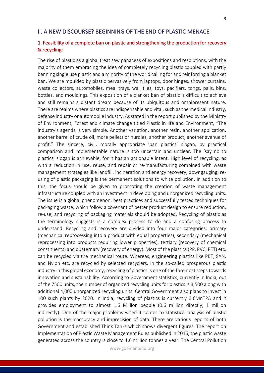## II. A NEW DISCOURSE? BEGINNING OF THE END OF PLASTIC MENACE

## 1. Feasibility of a complete ban on plastic and strengthening the production for recovery & recycling:

The rise of plastic as a global treat saw panaceas of expositions and resolutions, with the majority of them embracing the idea of completely recycling plastic coupled with partly banning single use plastic and a minority of the world calling for and reinforcing a blanket ban. We are moulded by plastic pervasively from laptops, door hinges, shower curtains, waste collectors, automobiles, meal trays, wall tiles, toys, pacifiers, tongs, pails, bins, bottles, and mouldings. This exposition of a blanket ban of plastic is difficult to achieve and still remains a distant dream because of its ubiquitous and omnipresent nature. There are realms where plastics are indispensable and vital, such as the medical industry, defense industry or automobile industry. As stated in the report published by the Ministry of Environment, Forest and climate change titled Plastic in life and Environment, "The industry's agenda is very simple. Another variation, another resin, another application, another barrel of crude oil, more pellets or nurdles, another product, another avenue of profit." The sincere, civil, morally appropriate 'ban plastics' slogan, by practical comparison and implementable nature is too uncertain and unclear. The 'say no to plastics' slogan is achievable, for it has an actionable intent. High level of recycling, as with a reduction in use, reuse, and repair or re-manufacturing combined with waste management strategies like landfill, incineration and energy recovery, downgauging, reusing of plastic packaging is the permanent solutions to white pollution. In addition to this, the focus should be given to promoting the creation of waste management infrastructure coupled with an investment in developing and unorganized recycling units. The issue is a global phenomenon, best practices and successfully tested techniques for packaging waste, which follow a covenant of better product design to ensure reduction, re-use, and recycling of packaging materials should be adopted. Recycling of plastic as the terminology suggests is a complex process to do and a confusing process to understand. Recycling and recovery are divided into four major categories: primary (mechanical reprocessing into a product with equal properties), secondary (mechanical reprocessing into products requiring lower properties), tertiary (recovery of chemical constituents) and quaternary (recovery of energy). Most of the plastics (PP, PVC, PET) etc. can be recycled via the mechanical route. Whereas, engineering plastics like PBT, SAN, and Nylon etc. are recycled by selected recyclers. In the so-called prosperous plastic industry in this global economy, recycling of plastics is one of the foremost steps towards innovation and sustainability. According to Government statistics, currently in India, out of the 7500 units, the number of organized recycling units for plastics is 3,500 along with additional 4,000 unorganized recycling units. Central Government also plans to invest in 100 such plants by 2020. In India, recycling of plastics is currently 3.6MnTPA and it provides employment to almost 1.6 Million people (0.6 million directly, 1 million indirectly). One of the major problems when it comes to statistical analysis of plastic pollution is the inaccuracy and imprecision of data. There are various reports of both Government and established Think Tanks which shows divergent figures. The report on Implementation of Plastic Waste Management Rules published in 2016, the plastic waste generated across the country is close to 1.6 million tonnes a year. The Central Pollution

www.goemanbind.org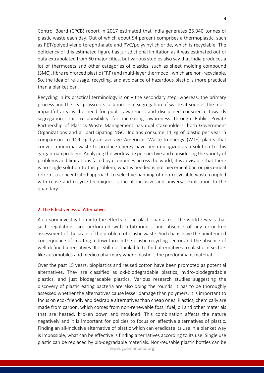Control Board (CPCB) report in 2017 estimated that India generates 25,940 tonnes of plastic waste each day. Out of which about 94 percent comprises a thermoplastic, such as PET/polyethylene terephthalate and PVC/polyvinyl chloride, which is recyclable. The deficiency of this estimated figure has jurisdictional limitation as it was estimated out of data extrapolated from 60 major cities, but various studies also say that India produces a lot of thermosets and other categories of plastics, such as sheet molding compound (SMC), fibre reinforced plastic (FRP) and multi-layer thermocol, which are non-recyclable. So, the idea of re-usage, recycling, and avoidance of hazardous plastic is more practical than a blanket ban.

Recycling in its practical terminology is only the secondary step, whereas, the primary process and the real grassroots solution lie in segregation of waste at source. The most impactful area is the need for public awareness and disciplined conscience towards segregation. This responsibility for increasing awareness through Public Private Partnership of Plastics Waste Management has dual stakeholders, both Government Organizations and all participating NGO. Indians consume 11 kg of plastic per year in comparison to 109 kg by an average American. Waste-to-energy (WTE) plants that convert municipal waste to produce energy have been eulogized as a solution to this gargantuan problem. Analyzing the worldwide perspective and considering the variety of problems and limitations faced by economies across the world, it is advisable that there is no single solution to this problem, what is needed is not piecemeal ban or piecemeal reform, a concentrated approach to selective banning of non-recyclable waste coupled with reuse and recycle techniques is the all-inclusive and universal explication to the quandary.

#### 2. The Effectiveness of Alternatives:

A cursory investigation into the effects of the plastic ban across the world reveals that such regulations are perforated with arbitrariness and absence of any error-free assessment of the scale of the problem of plastic waste. Such bans have the unintended consequence of creating a downturn in the plastic recycling sector and the absence of well-defined alternatives. It is still not thinkable to find alternatives to plastic in sectors like automobiles and medico pharmacy where plastic is the predominant material.

www.goemanbind.org Over the past 15 years, bioplastics and reused cotton have been promoted as potential alternatives. They are classified as oxi-biodegradable plastics, hydro-biodegradable plastics, and just biodegradable plastics. Various research studies suggesting the discovery of plastic eating bacteria are also doing the rounds. It has to be thoroughly assessed whether the alternatives cause lesser damage than polymers. It is important to focus on eco- friendly and desirable alternatives than cheap ones. Plastics, chemically are made from carbon, which comes from non-renewable fossil fuel, oil and other materials that are heated, broken down and moulded. This combination affects the nature negatively and it is important for policies to focus on effective alternatives of plastic. Finding an all-inclusive alternative of plastic which can eradicate its use in a blanket way is impossible, what can be effective is finding alternatives according to its use. Single use plastic can be replaced by bio-degradable materials. Non-reusable plastic bottles can be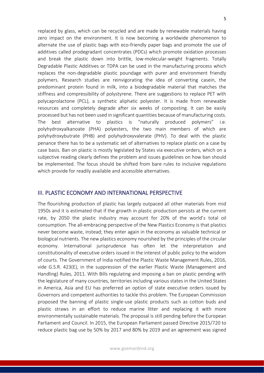replaced by glass, which can be recycled and are made by renewable materials having zero impact on the environment. It is now becoming a worldwide phenomenon to alternate the use of plastic bags with eco-friendly paper bags and promote the use of additives called prodegradant concentrates (PDCs) which promote oxidation processes and break the plastic down into brittle, low-molecular-weight fragments. Totally Degradable Plastic Additives or TDPA can be used in the manufacturing process which replaces the non-degradable plastic poundage with purer and environment friendly polymers. Research studies are reinvigorating the idea of converting casein, the predominant protein found in milk, into a biodegradable material that matches the stiffness and compressibility of polystyrene. There are suggestions to replace PET with polycaprolactone (PCL), a synthetic aliphatic polyester. It is made from renewable resources and completely degrade after six weeks of composting. It can be easily processed but has not been used in significant quantities because of manufacturing costs. The best alternative to plastics is "naturally produced polymers" i.e. polyhydroxyalkanoate (PHA) polyesters, the two main members of which are polyhydroxybutrate (PHB) and polyhydroxyvalerate (PHV). To deal with the plastic penance there has to be a systematic set of alternatives to replace plastic on a case by case basis. Ban on plastic is mostly legislated by States via executive orders, which on a subjective reading clearly defines the problem and issues guidelines on how ban should be implemented. The focus should be shifted from bare rules to inclusive regulations which provide for readily available and accessible alternatives.

## III. PLASTIC ECONOMY AND INTERNATIONAL PERSPECTIVE

The flourishing production of plastic has largely outpaced all other materials from mid 1950s and it is estimated that if the growth in plastic production persists at the current rate, by 2050 the plastic industry may account for 20% of the world's total oil consumption. The all-embracing perspective of the New Plastics Economy is that plastics never become waste, instead; they enter again in the economy as valuable technical or biological nutrients. The new plastics economy nourished by the principles of the circular economy. International jurisprudence has often let the interpretation and constitutionality of executive orders issued in the interest of public policy to the wisdom of courts. The Government of India notified the Plastic Waste Management Rules, 2016, vide G.S.R. 423(E), in the suppression of the earlier Plastic Waste (Management and Handling) Rules, 2011. With Bills regulating and imposing a ban on plastic pending with the legislature of many countries, territories including various states in the United States in America, Asia and EU has preferred an option of state executive orders issued by Governors and competent authorities to tackle this problem. The European Commission proposed the banning of plastic single-use plastic products such as cotton buds and plastic straws in an effort to reduce marine litter and replacing it with more environmentally sustainable materials. The proposal is still pending before the European Parliament and Council. In 2015, the European Parliament passed Directive 2015/720 to reduce plastic bag use by 50% by 2017 and 80% by 2019 and an agreement was signed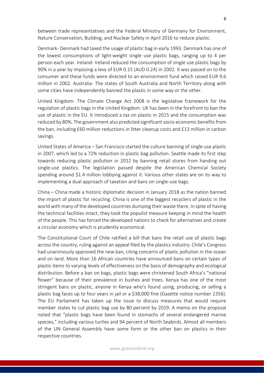between trade representatives and the Federal Ministry of Germany for Environment, Nature Conservation, Building, and Nuclear Safety in April 2016 to reduce plastic.

Denmark- Denmark had taxed the usage of plastic bag in early 1993. Denmark has one of the lowest consumptions of light-weight single use plastic bags, ranging up to 4 per person each year. Ireland- Ireland reduced the consumption of single use plastic bags by 90% in a year by imposing a levy of EUR 0.15 (AUD 0.24) in 2002. It was passed on to the consumer and these funds were directed to an environment fund which raised EUR 9.6 million in 2002. Australia- The states of South Australia and North Territory along with some cities have independently banned the plastic in some way or the other.

United Kingdom- The Climate Change Act 2008 is the legislative framework for the regulation of plastic bags in the United Kingdom. UK has been in the forefront to ban the use of plastic in the EU. It introduced a tax on plastic in 2015 and the consumption was reduced by 80%. The government also predicted significant socio-economic benefits from the ban, including £60 million reductions in litter cleanup costs and £13 million in carbon savings.

United States of America – San Francisco started the culture banning of single use plastic in 2007, which led to a 72% reduction in plastic bag pollution. Seattle made its first step towards reducing plastic pollution in 2012 by banning retail stores from handing out single-use plastics. The legislation passed despite the American Chemical Society spending around \$1.4 million lobbying against it. Various other states are on its way to implementing a dual approach of taxation and bans on single-use bags.

China – China made a historic diplomatic decision in January 2018 as the nation banned the import of plastic for recycling. China is one of the biggest recyclers of plastic in the world with many of the developed countries dumping their waste there. In spite of having the technical facilities intact, they took the populist measure keeping in mind the health of the people. This has forced the developed nations to check for alternatives and create a circular economy which is prudently economical.

The Constitutional Court of Chile ratified a bill that bans the retail use of plastic bags across the country, ruling against an appeal filed by the plastics industry. Chile's Congress had unanimously approved the new ban, citing concerns of plastic pollution in the ocean and on land. More than 16 African countries have announced bans on certain types of plastic items to varying levels of effectiveness on the basis of demography and ecological distribution. Before a ban on bags, plastic bags were christened South Africa's "national flower" because of their prevalence in bushes and trees. Kenya has one of the most stringent bans on plastic, anyone in Kenya who's found using, producing, or selling a plastic bag faces up to four years in jail or a \$38,000 fine (Gazette notice number 2356). The EU Parliament has taken up the issue to discuss measures that would require member states to cut plastic bag use by 80 percent by 2019. A memo on the proposal noted that "plastic bags have been found in stomachs of several endangered marine species," including various turtles and 94 percent of North Seabirds. Almost all members of the UN General Assembly have some form or the other ban on plastics in their respective countries.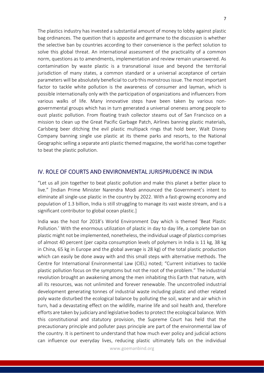The plastics industry has invested a substantial amount of money to lobby against plastic bag ordinances. The question that is apposite and germane to the discussion is whether the selective ban by countries according to their convenience is the perfect solution to solve this global threat. An international assessment of the practicality of a common norm, questions as to amendments, implementation and review remain unanswered. As contamination by waste plastic is a transnational issue and beyond the territorial jurisdiction of many states, a common standard or a universal acceptance of certain parameters will be absolutely beneficial to curb this monstrous issue. The most important factor to tackle white pollution is the awareness of consumer and layman, which is possible internationally only with the participation of organizations and influencers from various walks of life. Many innovative steps have been taken by various nongovernmental groups which has in turn generated a universal oneness among people to oust plastic pollution. From floating trash collector steams out of San Francisco on a mission to clean up the Great Pacific Garbage Patch, Airlines banning plastic materials, Carlsberg beer ditching the evil plastic multipack rings that hold beer, Walt Disney Company banning single use plastic at its theme parks and resorts, to the National Geographic selling a separate anti plastic themed magazine, the world has come together to beat the plastic pollution.

#### IV. ROLE OF COURTS AND ENVIRONMENTAL JURISPRUDENCE IN INDIA

"Let us all join together to beat plastic pollution and make this planet a better place to live." [Indian Prime Minister Narendra Modi announced the Government's intent to eliminate all single-use plastic in the country by 2022. With a fast-growing economy and population of 1.3 billion, India is still struggling to manage its vast waste stream, and is a significant contributor to global ocean plastic.]

India was the host for 2018's World Environment Day which is themed 'Beat Plastic Pollution.' With the enormous utilization of plastic in day to day life, a complete ban on plastic might not be implemented, nonetheless, the individual usage of plastics comprises of almost 40 percent (per capita consumption levels of polymers in India is 11 kg, 38 kg in China, 65 kg in Europe and the global average is 28 kg) of the total plastic production which can easily be done away with and this small steps with alternative methods. The Centre for International Environmental Law (CIEL) noted; "Current initiatives to tackle plastic pollution focus on the symptoms but not the root of the problem." The industrial revolution brought an awakening among the men inhabiting this Earth that nature, with all its resources, was not unlimited and forever renewable. The uncontrolled industrial development generating tonnes of industrial waste including plastic and other related poly waste disturbed the ecological balance by polluting the soil, water and air which in turn, had a devastating effect on the wildlife, marine life and soil health and, therefore efforts are taken by judiciary and legislative bodies to protect the ecological balance. With this constitutional and statutory provision, the Supreme Court has held that the precautionary principle and polluter pays principle are part of the environmental law of the country. It is pertinent to understand that how much ever policy and judicial actions can influence our everyday lives, reducing plastic ultimately falls on the individual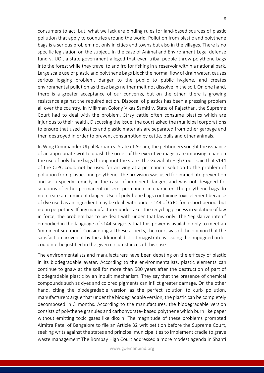consumers to act, but, what we lack are binding rules for land-based sources of plastic pollution that apply to countries around the world. Pollution from plastic and polythene bags is a serious problem not only in cities and towns but also in the villages. There is no specific legislation on the subject. In the case of Animal and Environment Legal defense fund v. UOI, a state government alleged that even tribal people throw polythene bags into the forest while they travel to and fro for fishing in a reservoir within a national park. Large scale use of plastic and polythene bags block the normal flow of drain water, causes serious logging problem, danger to the public to public hygiene, and creates environmental pollution as these bags neither melt not dissolve in the soil. On one hand, there is a greater acceptance of our concerns, but on the other, there is growing resistance against the required action. Disposal of plastics has been a pressing problem all over the country. In Milkman Colony Vikas Samiti v. State of Rajasthan, the Supreme Court had to deal with the problem. Stray cattle often consume plastics which are injurious to their health. Discussing the issue, the court asked the municipal corporations to ensure that used plastics and plastic materials are separated from other garbage and then destroyed in order to prevent consumption by cattle, bulls and other animals.

In Wing Commander Utpal Barbara v. State of Assam, the petitioners sought the issuance of an appropriate writ to quash the order of the executive magistrate imposing a ban on the use of polythene bags throughout the state. The Guwahati High Court said that s144 of the CrPC could not be used for arriving at a permanent solution to the problem of pollution from plastics and polythene. The provision was used for immediate prevention and as a speedy remedy in the case of imminent danger, and was not designed for solutions of either permanent or semi permanent in character. The polythene bags do not create an imminent danger. Use of polythene bags containing toxic element because of dye used as an ingredient may be dealt with under s144 of CrPC for a short period, but not in perpetuity. If any manufacturer undertakes the recycling process in violation of law in force, the problem has to be dealt with under that law only. The 'legislative intent' embodied in the language of s144 suggests that this power is available only to meet an 'imminent situation'. Considering all these aspects, the court was of the opinion that the satisfaction arrived at by the additional district magistrate is issuing the impugned order could not be justified in the given circumstances of this case.

The environmentalists and manufacturers have been debating on the efficacy of plastic in its biodegradable avatar. According to the environmentalists, plastic elements can continue to gnaw at the soil for more than 500 years after the destruction of part of biodegradable plastic by an inbuilt mechanism. They say that the presence of chemical compounds such as dyes and colored pigments can inflict greater damage. On the other hand, citing the biodegradable version as the perfect solution to curb pollution, manufacturers argue that under the biodegradable version, the plastic can be completely decomposed in 3 months. According to the manufactures, the biodegradable version consists of polythene granules and carbohydrate- based polythene which burn like paper without emitting toxic gases like dioxin. The magnitude of these problems prompted Almitra Patel of Bangalore to file an Article 32 writ petition before the Supreme Court, seeking writs against the states and principal municipalities to implement cradle to grave waste management The Bombay High Court addressed a more modest agenda in Shanti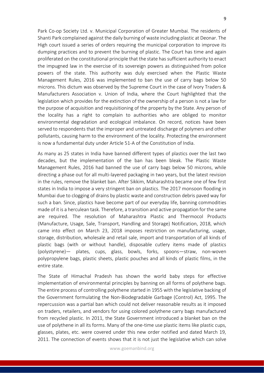Park Co-op Society Ltd. v. Municipal Corporation of Greater Mumbai. The residents of Shanti Park complained against the daily burning of waste including plastic at Deonar. The High court issued a series of orders requiring the municipal corporation to improve its dumping practices and to prevent the burning of plastic. The Court has time and again proliferated on the constitutional principle that the state has sufficient authority to enact the impugned law in the exercise of its sovereign powers as distinguished from police powers of the state. This authority was duly exercised when the Plastic Waste Management Rules, 2016 was implemented to ban the use of carry bags below 50 microns. This dictum was observed by the Supreme Court in the case of Ivory Traders & Manufacturers Association v. Union of India, where the Court highlighted that the legislation which provides for the extinction of the ownership of a person is not a law for the purpose of acquisition and requisitioning of the property by the State. Any person of the locality has a right to complain to authorities who are obliged to monitor environmental degradation and ecological imbalance. On record, notices have been served to respondents that the improper and untreated discharge of polymers and other pollutants, causing harm to the environment of the locality. Protecting the environment is now a fundamental duty under Article 51-A of the Constitution of India.

As many as 25 states in India have banned different types of plastics over the last two decades, but the implementation of the ban has been bleak. The Plastic Waste Management Rules, 2016 had banned the use of carry bags below 50 microns, while directing a phase out for all multi-layered packaging in two years, but the latest revision in the rules, remove the blanket ban. After Sikkim, Maharashtra became one of few first states in India to impose a very stringent ban on plastics. The 2017 monsoon flooding in Mumbai due to clogging of drains by plastic waste and construction debris paved way for such a ban. Since, plastics have become part of our everyday life, banning commodities made of it is a herculean task. Therefore, a transition and active propagation for the same are required. The resolution of Maharashtra Plastic and Thermocol Products (Manufacture, Usage, Sale, Transport, Handling and Storage) Notification, 2018, which came into effect on March 23, 2018 imposes restriction on manufacturing, usage, storage, distribution, wholesale and retail sale, import and transportation of all kinds of plastic bags (with or without handle), disposable cutlery items made of plastics (polystyrene)— plates, cups, glass, bowls, forks, spoons—straw, non-woven polypropylene bags, plastic sheets, plastic pouches and all kinds of plastic films, in the entire state.

The State of Himachal Pradesh has shown the world baby steps for effective implementation of environmental principles by banning on all forms of polythene bags. The entire process of controlling polythene started in 1955 with the legislative backing of the Government formulating the Non-Biodegradable Garbage (Control) Act, 1995. The repercussion was a partial ban which could not deliver reasonable results as it imposed on traders, retailers, and vendors for using colored polythene carry bags manufactured from recycled plastic. In 2011, the State Government introduced a blanket ban on the use of polythene in all its forms. Many of the one-time use plastic items like plastic cups, glasses, plates, etc. were covered under this new order notified and dated March 19, 2011. The connection of events shows that it is not just the legislative which can solve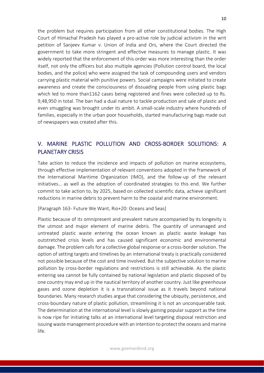the problem but requires participation from all other constitutional bodies. The High Court of Himachal Pradesh has played a pro-active role by judicial activism in the writ petition of Sanjeev Kumar v. Union of India and Ors, where the Court directed the government to take more stringent and effective measures to manage plastic. It was widely reported that the enforcement of this order was more interesting than the order itself, not only the officers but also multiple agencies (Pollution control board, the local bodies, and the police) who were assigned the task of compounding users and vendors carrying plastic material with punitive powers. Social campaigns were initiated to create awareness and create the consciousness of dissuading people from using plastic bags which led to more than1162 cases being registered and fines were collected up to Rs. 9,48,950 in total. The ban had a dual nature to tackle production and sale of plastic and even smuggling was brought under its ambit. A small-scale industry where hundreds of families, especially in the urban poor households, started manufacturing bags made out of newspapers was created after this.

## V. MARINE PLASTIC POLLUTION AND CROSS-BORDER SOLUTIONS: A PLANETARY CRISIS

Take action to reduce the incidence and impacts of pollution on marine ecosystems, through effective implementation of relevant conventions adopted in the framework of the International Maritime Organization (IMO), and the follow-up of the relevant initiatives… as well as the adoption of coordinated strategies to this end. We further commit to take action to, by 2025, based on collected scientific data, achieve significant reductions in marine debris to prevent harm to the coastal and marine environment.

#### [Paragraph 163- Future We Want, Rio+20: Oceans and Seas]

Plastic because of its omnipresent and prevalent nature accompanied by its longevity is the utmost and major element of marine debris. The quantity of unmanaged and untreated plastic waste entering the ocean known as plastic waste leakage has outstretched crisis levels and has caused significant economic and environmental damage. The problem calls for a collective global response or a cross-border solution. The option of setting targets and timelines by an international treaty is practically considered not possible because of the cost and time involved. But the subjective solution to marine pollution by cross-border regulations and restrictions is still achievable. As the plastic entering sea cannot be fully contained by national legislation and plastic disposed of by one country may end up in the nautical territory of another country. Just like greenhouse gases and ozone depletion it is a transnational issue as it travels beyond national boundaries. Many research studies argue that considering the ubiquity, persistence, and cross-boundary nature of plastic pollution, streamlining it is not an unconquerable task. The determination at the international level is slowly gaining popular support as the time is now ripe for initiating talks at an international level targeting disposal restriction and issuing waste management procedure with an intention to protect the oceans and marine life.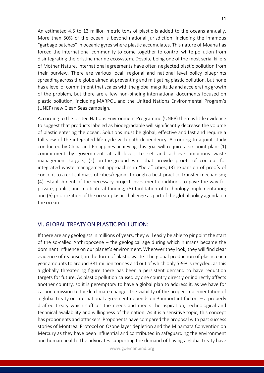An estimated 4.5 to 13 million metric tons of plastic is added to the oceans annually. More than 50% of the ocean is beyond national jurisdiction, including the infamous "garbage patches" in oceanic gyres where plastic accumulates. This nature of Moana has forced the international community to come together to control white pollution from disintegrating the pristine marine ecosystem. Despite being one of the most serial killers of Mother Nature, international agreements have often neglected plastic pollution from their purview. There are various local, regional and national level policy blueprints spreading across the globe aimed at preventing and mitigating plastic pollution, but none has a level of commitment that scales with the global magnitude and accelerating growth of the problem, but there are a few non-binding international documents focused on plastic pollution, including MARPOL and the United Nations Environmental Program's (UNEP) new Clean Seas campaign.

According to the United Nations Environment Programme (UNEP) there is little evidence to suggest that products labeled as biodegradable will significantly decrease the volume of plastic entering the ocean. Solutions must be global, effective and fast and require a full view of the integrated life cycle with path dependency. According to a joint study conducted by China and Philippines achieving this goal will require a six-point plan: (1) commitment by government at all levels to set and achieve ambitious waste management targets; (2) on-the-ground wins that provide proofs of concept for integrated waste management approaches in "beta" cities; (3) expansion of proofs of concept to a critical mass of cities/regions through a best-practice-transfer mechanism; (4) establishment of the necessary project-investment conditions to pave the way for private, public, and multilateral funding; (5) facilitation of technology implementation; and (6) prioritization of the ocean-plastic challenge as part of the global policy agenda on the ocean.

## VI. GLOBAL TREATY ON PLASTIC POLLUTION:

If there are any geologists in millions of years, they will easily be able to pinpoint the start of the so-called Anthropocene – the geological age during which humans became the dominant influence on our planet's environment. Wherever they look, they will find clear evidence of its onset, in the form of plastic waste. The global production of plastic each year amounts to around 381 million tonnes and out of which only 5-9% is recycled, as this a globally threatening figure there has been a persistent demand to have reduction targets for future. As plastic pollution caused by one country directly or indirectly affects another country, so it is peremptory to have a global plan to address it, as we have for carbon emission to tackle climate change. The viability of the proper implementation of a global treaty or international agreement depends on 3 important factors – a properly drafted treaty which suffices the needs and meets the aspiration; technological and technical availability and willingness of the nation. As it is a sensitive topic, this concept has proponents and attackers. Proponents have compared the proposal with past success stories of Montreal Protocol on Ozone layer depletion and the Minamata Convention on Mercury as they have been influential and contributed in safeguarding the environment and human health. The advocates supporting the demand of having a global treaty have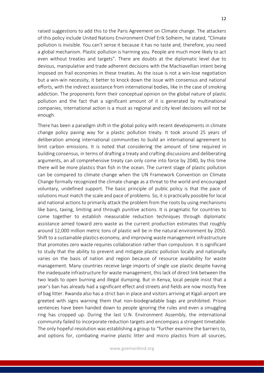raised suggestions to add this to the Paris Agreement on Climate change. The attackers of this policy include United Nations Environment Chief Erik Solheim, he stated, "Climate pollution is invisible. You can't sense it because it has no taste and, therefore, you need a global mechanism. Plastic pollution is harming you. People are much more likely to act even without treaties and targets". There are doubts at the diplomatic level due to devious, manipulative and trade adherent decisions with the Machiavellian intent being imposed on frail economies in these treaties. As the issue is not a win-lose negotiation but a win-win necessity, it better to knock down the issue with consensus and national efforts, with the indirect assistance from international bodies, like in the case of smoking addiction. The proponents form their conceptual opinion on the global nature of plastic pollution and the fact that a significant amount of it is generated by multinational companies, international action is a must as regional and city level decisions will not be enough.

There has been a paradigm shift in the global policy with recent developments in climate change policy paving way for a plastic pollution treaty. It took around 25 years of deliberation among international communities to build an international agreement to limit carbon emissions. It is noted that considering the amount of time required in building consensus, in terms of drafting a treaty and crafting discussions and deliberating arguments, an all comprehensive treaty can only come into force by 2040, by this time there will be more plastics than fish in the ocean. The current stage of plastic pollution can be compared to climate change when the UN Framework Convention on Climate Change formally recognized the climate change as a threat to the world and encouraged voluntary, undefined support. The basic principle of public policy is that the pace of solutions must match the scale and pace of problems. So, it is practically possible for local and national actions to primarily attack the problem from the roots by using mechanisms like bans, taxing, limiting and through punitive actions. It is pragmatic for countries to come together to establish measurable reduction techniques through diplomatic assistance aimed toward zero waste as the current production estimates that roughly around 12,000 million metric tons of plastic will be in the natural environment by 2050. Shift to a sustainable plastics economy, and improving waste management infrastructure that promotes zero waste requires collaboration rather than compulsion. It is significant to study that the ability to prevent and mitigate plastic pollution locally and nationally varies on the basis of nation and region because of resource availability for waste management. Many countries receive large imports of single use plastic despite having the inadequate infrastructure for waste management, this lack of direct link between the two leads to open burning and illegal dumping. But in Kenya, local people insist that a year's ban has already had a significant effect and streets and fields are now mostly free of bag litter. Rwanda also has a strict ban in place and visitors arriving at Kigali airport are greeted with signs warning them that non-biodegradable bags are prohibited. Prison sentences have been handed down to people ignoring the rules and even a smuggling ring has cropped up. During the last U.N. Environment Assembly, the international community failed to incorporate reduction targets and encompass a stringent timetable. The only hopeful resolution was establishing a group to "further examine the barriers to, and options for, combating marine plastic litter and micro plastics from all sources,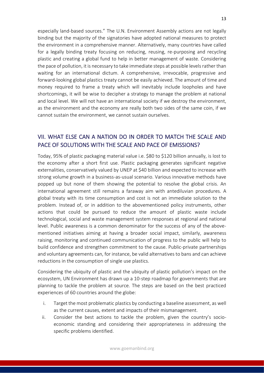especially land-based sources." The U.N. Environment Assembly actions are not legally binding but the majority of the signatories have adopted national measures to protect the environment in a comprehensive manner. Alternatively, many countries have called for a legally binding treaty focusing on reducing, reusing, re-purposing and recycling plastic and creating a global fund to help in better management of waste. Considering the pace of pollution, it is necessary to take immediate steps at possible levels rather than waiting for an international dictum. A comprehensive, irrevocable, progressive and forward-looking global plastics treaty cannot be easily achieved. The amount of time and money required to frame a treaty which will inevitably include loopholes and have shortcomings, it will be wise to decipher a strategy to manage the problem at national and local level. We will not have an international society if we destroy the environment, as the environment and the economy are really both two sides of the same coin, if we cannot sustain the environment, we cannot sustain ourselves.

## VII. WHAT ELSE CAN A NATION DO IN ORDER TO MATCH THE SCALE AND PACE OF SOLUTIONS WITH THE SCALE AND PACE OF EMISSIONS?

Today, 95% of plastic packaging material value i.e. \$80 to \$120 billion annually, is lost to the economy after a short first use. Plastic packaging generates significant negative externalities, conservatively valued by UNEP at \$40 billion and expected to increase with strong volume growth in a business-as-usual scenario. Various innovative methods have popped up but none of them showing the potential to resolve the global crisis. An international agreement still remains a faraway aim with antediluvian procedures. A global treaty with its time consumption and cost is not an immediate solution to the problem. Instead of, or in addition to the abovementioned policy instruments, other actions that could be pursued to reduce the amount of plastic waste include technological, social and waste management system responses at regional and national level. Public awareness is a common denominator for the success of any of the abovementioned initiatives aiming at having a broader social impact, similarly, awareness raising, monitoring and continued communication of progress to the public will help to build confidence and strengthen commitment to the cause. Public-private partnerships and voluntary agreements can, for instance, be valid alternatives to bans and can achieve reductions in the consumption of single use plastics.

Considering the ubiquity of plastic and the ubiquity of plastic pollution's impact on the ecosystem, UN Environment has drawn up a 10-step roadmap for governments that are planning to tackle the problem at source. The steps are based on the best practiced experiences of 60 countries around the globe:

- i. Target the most problematic plastics by conducting a baseline assessment, as well as the current causes, extent and impacts of their mismanagement.
- ii. Consider the best actions to tackle the problem, given the country's socioeconomic standing and considering their appropriateness in addressing the specific problems identified.